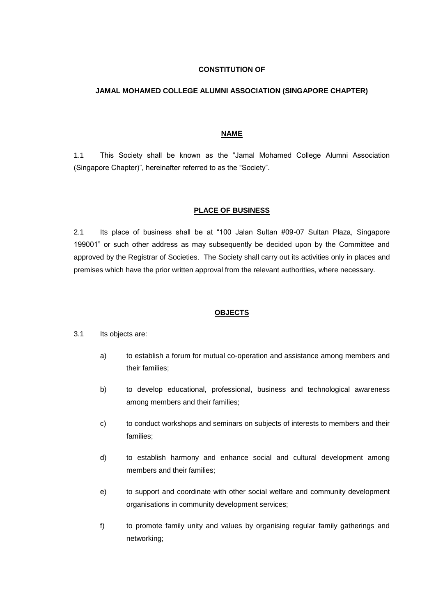# **CONSTITUTION OF**

#### **JAMAL MOHAMED COLLEGE ALUMNI ASSOCIATION (SINGAPORE CHAPTER)**

#### **NAME**

1.1 This Society shall be known as the "Jamal Mohamed College Alumni Association (Singapore Chapter)", hereinafter referred to as the "Society".

#### **PLACE OF BUSINESS**

2.1 Its place of business shall be at "100 Jalan Sultan #09-07 Sultan Plaza, Singapore 199001" or such other address as may subsequently be decided upon by the Committee and approved by the Registrar of Societies. The Society shall carry out its activities only in places and premises which have the prior written approval from the relevant authorities, where necessary.

#### **OBJECTS**

- 3.1 Its objects are:
	- a) to establish a forum for mutual co-operation and assistance among members and their families;
	- b) to develop educational, professional, business and technological awareness among members and their families;
	- c) to conduct workshops and seminars on subjects of interests to members and their families;
	- d) to establish harmony and enhance social and cultural development among members and their families;
	- e) to support and coordinate with other social welfare and community development organisations in community development services;
	- f) to promote family unity and values by organising regular family gatherings and networking;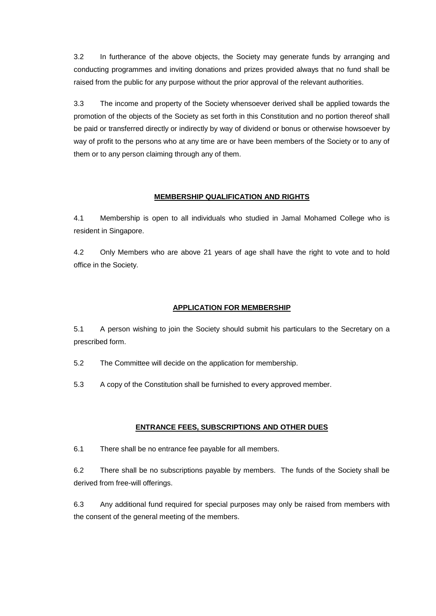3.2 In furtherance of the above objects, the Society may generate funds by arranging and conducting programmes and inviting donations and prizes provided always that no fund shall be raised from the public for any purpose without the prior approval of the relevant authorities.

3.3 The income and property of the Society whensoever derived shall be applied towards the promotion of the objects of the Society as set forth in this Constitution and no portion thereof shall be paid or transferred directly or indirectly by way of dividend or bonus or otherwise howsoever by way of profit to the persons who at any time are or have been members of the Society or to any of them or to any person claiming through any of them.

# **MEMBERSHIP QUALIFICATION AND RIGHTS**

4.1 Membership is open to all individuals who studied in Jamal Mohamed College who is resident in Singapore.

4.2 Only Members who are above 21 years of age shall have the right to vote and to hold office in the Society.

# **APPLICATION FOR MEMBERSHIP**

5.1 A person wishing to join the Society should submit his particulars to the Secretary on a prescribed form.

- 5.2 The Committee will decide on the application for membership.
- 5.3 A copy of the Constitution shall be furnished to every approved member.

# **ENTRANCE FEES, SUBSCRIPTIONS AND OTHER DUES**

6.1 There shall be no entrance fee payable for all members.

6.2 There shall be no subscriptions payable by members. The funds of the Society shall be derived from free-will offerings.

6.3 Any additional fund required for special purposes may only be raised from members with the consent of the general meeting of the members.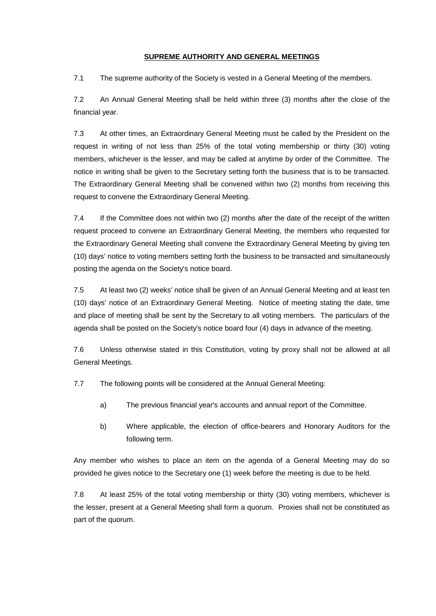# **SUPREME AUTHORITY AND GENERAL MEETINGS**

7.1 The supreme authority of the Society is vested in a General Meeting of the members.

7.2 An Annual General Meeting shall be held within three (3) months after the close of the financial year.

7.3 At other times, an Extraordinary General Meeting must be called by the President on the request in writing of not less than 25% of the total voting membership or thirty (30) voting members, whichever is the lesser, and may be called at anytime by order of the Committee. The notice in writing shall be given to the Secretary setting forth the business that is to be transacted. The Extraordinary General Meeting shall be convened within two (2) months from receiving this request to convene the Extraordinary General Meeting.

7.4 If the Committee does not within two (2) months after the date of the receipt of the written request proceed to convene an Extraordinary General Meeting, the members who requested for the Extraordinary General Meeting shall convene the Extraordinary General Meeting by giving ten (10) days' notice to voting members setting forth the business to be transacted and simultaneously posting the agenda on the Society's notice board.

7.5 At least two (2) weeks' notice shall be given of an Annual General Meeting and at least ten (10) days' notice of an Extraordinary General Meeting. Notice of meeting stating the date, time and place of meeting shall be sent by the Secretary to all voting members. The particulars of the agenda shall be posted on the Society's notice board four (4) days in advance of the meeting.

7.6 Unless otherwise stated in this Constitution, voting by proxy shall not be allowed at all General Meetings.

7.7 The following points will be considered at the Annual General Meeting:

- a) The previous financial year's accounts and annual report of the Committee.
- b) Where applicable, the election of office-bearers and Honorary Auditors for the following term.

Any member who wishes to place an item on the agenda of a General Meeting may do so provided he gives notice to the Secretary one (1) week before the meeting is due to be held.

7.8 At least 25% of the total voting membership or thirty (30) voting members, whichever is the lesser, present at a General Meeting shall form a quorum. Proxies shall not be constituted as part of the quorum.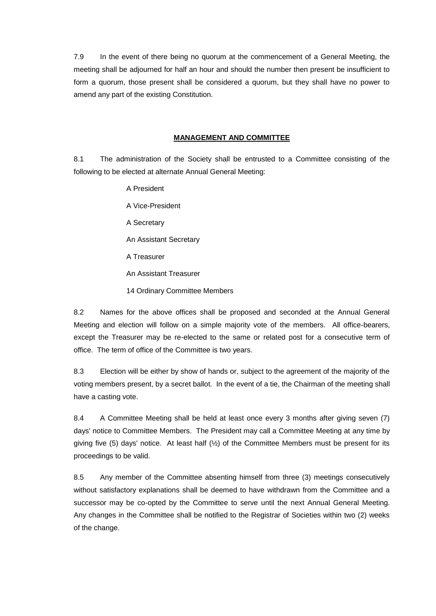7.9 In the event of there being no quorum at the commencement of a General Meeting, the meeting shall be adjourned for half an hour and should the number then present be insufficient to form a quorum, those present shall be considered a quorum, but they shall have no power to amend any part of the existing Constitution.

#### **MANAGEMENT AND COMMITTEE**

8.1 The administration of the Society shall be entrusted to a Committee consisting of the following to be elected at alternate Annual General Meeting:

- A President A Vice-President A Secretary An Assistant Secretary A Treasurer An Assistant Treasurer
- 14 Ordinary Committee Members

8.2 Names for the above offices shall be proposed and seconded at the Annual General Meeting and election will follow on a simple majority vote of the members. All office-bearers, except the Treasurer may be re-elected to the same or related post for a consecutive term of office. The term of office of the Committee is two years.

8.3 Election will be either by show of hands or, subject to the agreement of the majority of the voting members present, by a secret ballot. In the event of a tie, the Chairman of the meeting shall have a casting vote.

8.4 A Committee Meeting shall be held at least once every 3 months after giving seven (7) days' notice to Committee Members. The President may call a Committee Meeting at any time by giving five (5) days' notice. At least half  $(\frac{1}{2})$  of the Committee Members must be present for its proceedings to be valid.

8.5 Any member of the Committee absenting himself from three (3) meetings consecutively without satisfactory explanations shall be deemed to have withdrawn from the Committee and a successor may be co-opted by the Committee to serve until the next Annual General Meeting. Any changes in the Committee shall be notified to the Registrar of Societies within two (2) weeks of the change.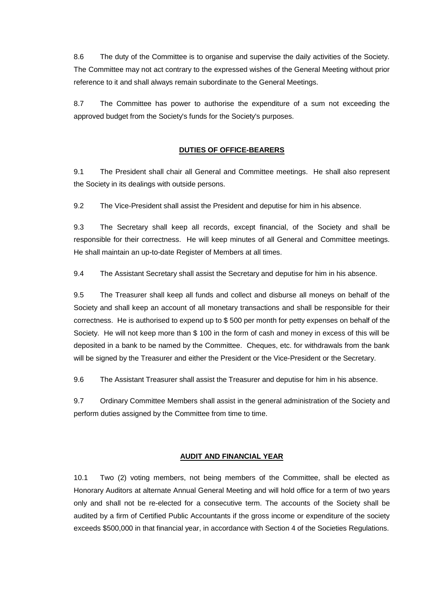8.6 The duty of the Committee is to organise and supervise the daily activities of the Society. The Committee may not act contrary to the expressed wishes of the General Meeting without prior reference to it and shall always remain subordinate to the General Meetings.

8.7 The Committee has power to authorise the expenditure of a sum not exceeding the approved budget from the Society's funds for the Society's purposes.

# **DUTIES OF OFFICE-BEARERS**

9.1 The President shall chair all General and Committee meetings. He shall also represent the Society in its dealings with outside persons.

9.2 The Vice-President shall assist the President and deputise for him in his absence.

9.3 The Secretary shall keep all records, except financial, of the Society and shall be responsible for their correctness. He will keep minutes of all General and Committee meetings. He shall maintain an up-to-date Register of Members at all times.

9.4 The Assistant Secretary shall assist the Secretary and deputise for him in his absence.

9.5 The Treasurer shall keep all funds and collect and disburse all moneys on behalf of the Society and shall keep an account of all monetary transactions and shall be responsible for their correctness. He is authorised to expend up to \$ 500 per month for petty expenses on behalf of the Society. He will not keep more than \$ 100 in the form of cash and money in excess of this will be deposited in a bank to be named by the Committee. Cheques, etc. for withdrawals from the bank will be signed by the Treasurer and either the President or the Vice-President or the Secretary.

9.6 The Assistant Treasurer shall assist the Treasurer and deputise for him in his absence.

9.7 Ordinary Committee Members shall assist in the general administration of the Society and perform duties assigned by the Committee from time to time.

# **AUDIT AND FINANCIAL YEAR**

10.1 Two (2) voting members, not being members of the Committee, shall be elected as Honorary Auditors at alternate Annual General Meeting and will hold office for a term of two years only and shall not be re-elected for a consecutive term. The accounts of the Society shall be audited by a firm of Certified Public Accountants if the gross income or expenditure of the society exceeds \$500,000 in that financial year, in accordance with Section 4 of the Societies Regulations.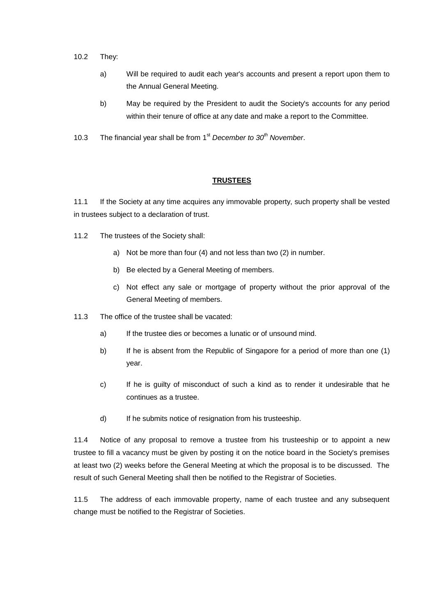- 10.2 They:
	- a) Will be required to audit each year's accounts and present a report upon them to the Annual General Meeting.
	- b) May be required by the President to audit the Society's accounts for any period within their tenure of office at any date and make a report to the Committee.
- 10.3 The financial year shall be from 1<sup>st</sup> December to 30<sup>th</sup> November.

# **TRUSTEES**

11.1 If the Society at any time acquires any immovable property, such property shall be vested in trustees subject to a declaration of trust.

- 11.2 The trustees of the Society shall:
	- a) Not be more than four (4) and not less than two (2) in number.
	- b) Be elected by a General Meeting of members.
	- c) Not effect any sale or mortgage of property without the prior approval of the General Meeting of members.
- 11.3 The office of the trustee shall be vacated:
	- a) If the trustee dies or becomes a lunatic or of unsound mind.
	- b) If he is absent from the Republic of Singapore for a period of more than one (1) year.
	- c) If he is guilty of misconduct of such a kind as to render it undesirable that he continues as a trustee.
	- d) If he submits notice of resignation from his trusteeship.

11.4 Notice of any proposal to remove a trustee from his trusteeship or to appoint a new trustee to fill a vacancy must be given by posting it on the notice board in the Society's premises at least two (2) weeks before the General Meeting at which the proposal is to be discussed. The result of such General Meeting shall then be notified to the Registrar of Societies.

11.5 The address of each immovable property, name of each trustee and any subsequent change must be notified to the Registrar of Societies.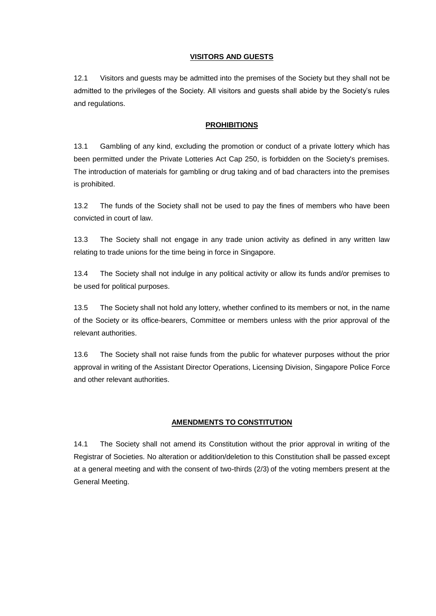#### **VISITORS AND GUESTS**

12.1 Visitors and guests may be admitted into the premises of the Society but they shall not be admitted to the privileges of the Society. All visitors and guests shall abide by the Society's rules and regulations.

#### **PROHIBITIONS**

13.1 Gambling of any kind, excluding the promotion or conduct of a private lottery which has been permitted under the Private Lotteries Act Cap 250, is forbidden on the Society's premises. The introduction of materials for gambling or drug taking and of bad characters into the premises is prohibited.

13.2 The funds of the Society shall not be used to pay the fines of members who have been convicted in court of law.

13.3 The Society shall not engage in any trade union activity as defined in any written law relating to trade unions for the time being in force in Singapore.

13.4 The Society shall not indulge in any political activity or allow its funds and/or premises to be used for political purposes.

13.5 The Society shall not hold any lottery, whether confined to its members or not, in the name of the Society or its office-bearers, Committee or members unless with the prior approval of the relevant authorities.

13.6 The Society shall not raise funds from the public for whatever purposes without the prior approval in writing of the Assistant Director Operations, Licensing Division, Singapore Police Force and other relevant authorities.

# **AMENDMENTS TO CONSTITUTION**

14.1 The Society shall not amend its Constitution without the prior approval in writing of the Registrar of Societies. No alteration or addition/deletion to this Constitution shall be passed except at a general meeting and with the consent of two-thirds (2/3) of the voting members present at the General Meeting.